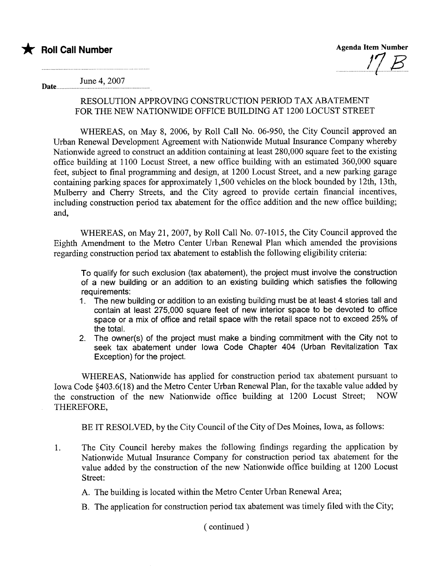Agenda Item Number

Date.......... June 4,2007

## RESOLUTION APPROVING CONSTRUCTION PERIOD TAX ABATEMENT FOR THE NEW NATIONWIDE OFFICE BUILDING AT 1200 LOCUST STREET

WHEREAS, on May 8, 2006, by Roll Call No. 06-950, the City Council approved an Urban Renewal Development Agreement with Nationwide Mutual Insurance Company whereby Nationwide agreed to construct an addition containing at least 280,000 square feet to the existing office building at 1100 Locust Street, a new office building with an estimated 360,000 square feet, subject to final programming and design, at 1200 Locust Street, and a new parking garage containing parking spaces for approximately 1,500 vehicles on the block bounded by 12th, 13th, Mulberry and Cherry Streets, and the City agreed to provide certain financial incentives, including construction period tax abatement for the office addition and the new office building; and,

WHEREAS, on May 21, 2007, by Roll Call No. 07-1015, the City Council approved the Eighth Amendment to the Metro Center Urban Renewal Plan which amended the provisions regarding construction period tax abatement to establish the following eligibility criteria:

To qualify for such exclusion (tax abatement), the project must involve the construction of a new building or an addition to an existing building which satisfies the following requirements:

- 1. The new building or addition to an existing building must be at least 4 stories tall and contain at least 275,000 square feet of new interior space to be devoted to office space or a mix of office and retail space with the retail space not to exceed 25% of the total.
- 2. The owner(s) of the project must make a binding commitment with the City not to seek tax abatement under Iowa Code Chapter 404 (Urban Revitalization Tax Exception) for the project.

WHEREAS, Nationwide has applied for construction period tax abatement pursuant to Iowa Code §403.6(18) and the Metro Center Urban Renewal Plan, for the taxable value added by<br>the construction of the new Nationwide office building at 1200 Locust Street: NOW the construction of the new Nationwide office building at 1200 Locust Street; THEREFORE,

BE IT RESOLVED, by the City Council of the City of Des Moines, Iowa, as follows:

1. The City Council hereby makes the following findings regarding the application by Nationwide Mutual Insurance Company for construction period tax abatement for the value added by the construction of the new Nationwide office building at 1200 Locust Street:

A. The building is located within the Metro Center Urban Renewal Area;

B. The application for construction period tax abatement was timely fied with the City;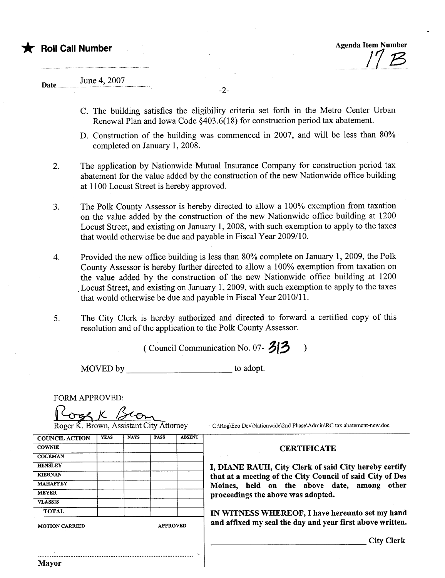\* Roll Call Number Agenda Item Number Agenda Item Number <u>|'| B</u>

## June 4,2007 Date...

-2-

- C. The building satisfies the eligibility criteria set forth in the Metro Center Urban Renewal Plan and Iowa Code §403.6(18) for construction period tax abatement.
- D. Construction of the building was commenced in 2007, and will be less than 80% completed on January 1, 2008.
- 2. The application by Nationwide Mutual Insurance Company for construction period tax abatement for the value added by the construction of the new Nationwide office building at 1100 Locust Street is hereby approved.
- 3. The Polk County Assessor is hereby directed to allow a 100% exemption from taxation on the value added by the construction of the new Nationwide office building at 1200 Locust Street, and existing on January 1, 2008, with such exemption to apply to the taxes that would otherwise be due and payable in Fiscal Year 2009/10.
- 4. Provided the new office building is less than 80% complete on January 1, 2009, the Polk County Assessor is hereby further directed to allow a 100% exemption from taxation on the value added by the construction of the new Nationwide office building at 1200 Locust Street, and existing on January 1, 2009, with such exemption to apply to the taxes that would otherwise be due and payable in Fiscal Year 2010/11.
- 5. The City Clerk is hereby authorized and directed to forward a certified copy of this resolution and of the application to the Polk County Assessor.

(Council Communication No. 07- $\frac{3!3}{1!}$ )

MOVED by to adopt.

'..

FORM APPROVED:<br>
Roger K. Brown, Assistant City Attorney ... C:\Rog\Eco Dev\Nationwide\2nd Phase\Admin\RC tax abatement-new.doc

| <b>COUNCIL ACTION</b> | <b>YEAS</b> | <b>NAYS</b> | <b>PASS</b>     | <b>ABSENT</b> |
|-----------------------|-------------|-------------|-----------------|---------------|
| <b>COWNIE</b>         |             |             |                 |               |
| <b>COLEMAN</b>        |             |             |                 |               |
| <b>HENSLEY</b>        |             |             |                 |               |
| <b>KIERNAN</b>        |             |             |                 |               |
| <b>MAHAFFEY</b>       |             |             |                 |               |
| <b>MEYER</b>          |             |             |                 |               |
| <b>VLASSIS</b>        |             |             |                 |               |
| <b>TOTAL</b>          |             |             |                 |               |
| <b>MOTION CARRIED</b> |             |             | <b>APPROVED</b> |               |
|                       |             |             |                 |               |
|                       |             |             |                 |               |

..........................................................................................

Mayor

## **CERTIFICATE**

I, DIANE RAUH, City Clerk of said City hereby certify that at a meeting of the City Council of said City of Des Moines, held on the above date, among other proceedings the above was adopted.

IN WITNESS WHEREOF, I have hereunto set my hand and affixed my seal the day and year first above written.

City Clerk